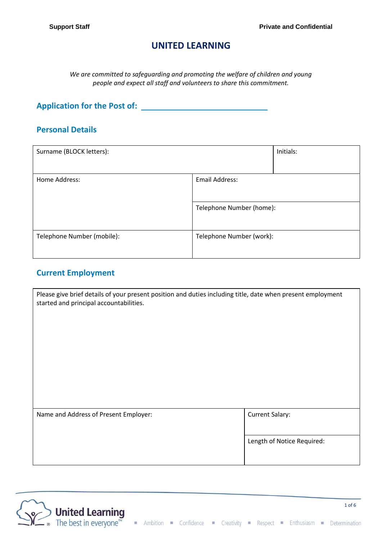# **UNITED LEARNING**

*We are committed to safeguarding and promoting the welfare of children and young people and expect all staff and volunteers to share this commitment.*

**Application for the Post of:**

### **Personal Details**

| Surname (BLOCK letters):        |                          | Initials: |
|---------------------------------|--------------------------|-----------|
| Home Address:<br>Email Address: |                          |           |
|                                 | Telephone Number (home): |           |
| Telephone Number (mobile):      | Telephone Number (work): |           |

# **Current Employment**

| Please give brief details of your present position and duties including title, date when present employment<br>started and principal accountabilities. |                            |
|--------------------------------------------------------------------------------------------------------------------------------------------------------|----------------------------|
| Name and Address of Present Employer:                                                                                                                  | <b>Current Salary:</b>     |
|                                                                                                                                                        | Length of Notice Required: |



1 of 6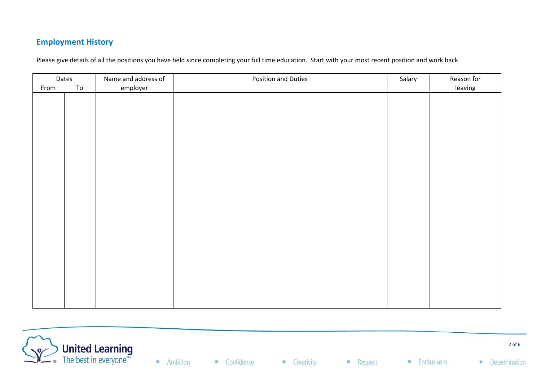# **Employment History**

Please give details of all the positions you have held since completing your full time education. Start with your most recent position and work back.

|      | Dates | Name and address of | Position and Duties | Salary | Reason for |
|------|-------|---------------------|---------------------|--------|------------|
| From | To    | employer            |                     |        | leaving    |
|      |       |                     |                     |        |            |
|      |       |                     |                     |        |            |
|      |       |                     |                     |        |            |
|      |       |                     |                     |        |            |
|      |       |                     |                     |        |            |
|      |       |                     |                     |        |            |
|      |       |                     |                     |        |            |
|      |       |                     |                     |        |            |
|      |       |                     |                     |        |            |
|      |       |                     |                     |        |            |
|      |       |                     |                     |        |            |
|      |       |                     |                     |        |            |
|      |       |                     |                     |        |            |
|      |       |                     |                     |        |            |
|      |       |                     |                     |        |            |
|      |       |                     |                     |        |            |
|      |       |                     |                     |        |            |
|      |       |                     |                     |        |            |
|      |       |                     |                     |        |            |
|      |       |                     |                     |        |            |
|      |       |                     |                     |        |            |
|      |       |                     |                     |        |            |
|      |       |                     |                     |        |            |

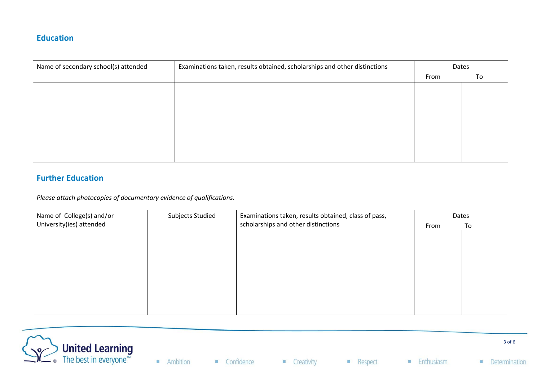### **Education**

| Name of secondary school(s) attended | Examinations taken, results obtained, scholarships and other distinctions | Dates |    |
|--------------------------------------|---------------------------------------------------------------------------|-------|----|
|                                      |                                                                           | From  | To |
|                                      |                                                                           |       |    |
|                                      |                                                                           |       |    |
|                                      |                                                                           |       |    |
|                                      |                                                                           |       |    |
|                                      |                                                                           |       |    |
|                                      |                                                                           |       |    |
|                                      |                                                                           |       |    |
|                                      |                                                                           |       |    |

## **Further Education**

*Please attach photocopies of documentary evidence of qualifications.*

| Name of College(s) and/or | Subjects Studied | Examinations taken, results obtained, class of pass, | Dates |    |
|---------------------------|------------------|------------------------------------------------------|-------|----|
| University(ies) attended  |                  | scholarships and other distinctions                  | From  | To |
|                           |                  |                                                      |       |    |
|                           |                  |                                                      |       |    |
|                           |                  |                                                      |       |    |
|                           |                  |                                                      |       |    |
|                           |                  |                                                      |       |    |
|                           |                  |                                                      |       |    |
|                           |                  |                                                      |       |    |
|                           |                  |                                                      |       |    |
|                           |                  |                                                      |       |    |

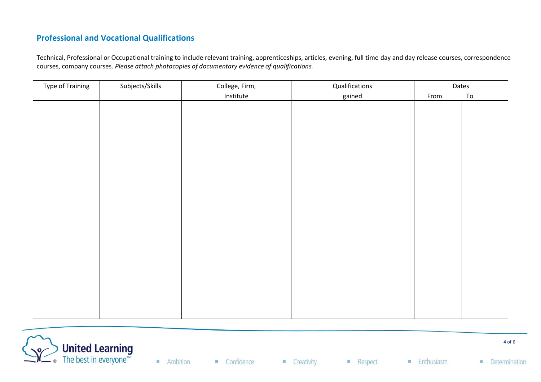# **Professional and Vocational Qualifications**

Technical, Professional or Occupational training to include relevant training, apprenticeships, articles, evening, full time day and day release courses, correspondence courses, company courses. *Please attach photocopies of documentary evidence of qualifications.*

| <b>Type of Training</b> | Subjects/Skills | College, Firm, | Qualifications | Dates |    |
|-------------------------|-----------------|----------------|----------------|-------|----|
|                         |                 | Institute      | gained         | From  | To |
|                         |                 |                |                |       |    |
|                         |                 |                |                |       |    |
|                         |                 |                |                |       |    |
|                         |                 |                |                |       |    |
|                         |                 |                |                |       |    |
|                         |                 |                |                |       |    |
|                         |                 |                |                |       |    |
|                         |                 |                |                |       |    |
|                         |                 |                |                |       |    |
|                         |                 |                |                |       |    |
|                         |                 |                |                |       |    |
|                         |                 |                |                |       |    |
|                         |                 |                |                |       |    |
|                         |                 |                |                |       |    |
|                         |                 |                |                |       |    |
|                         |                 |                |                |       |    |
|                         |                 |                |                |       |    |
|                         |                 |                |                |       |    |
|                         |                 |                |                |       |    |
|                         |                 |                |                |       |    |
|                         |                 |                |                |       |    |
|                         |                 |                |                |       |    |

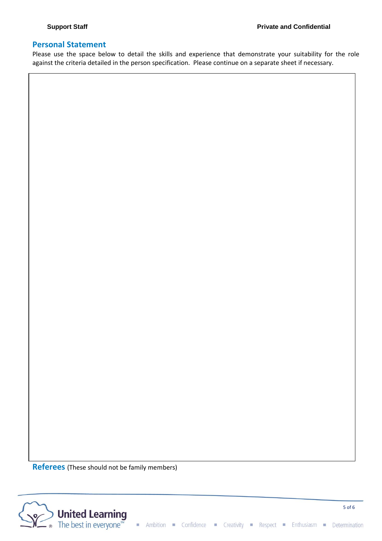#### **Personal Statement**

Please use the space below to detail the skills and experience that demonstrate your suitability for the role against the criteria detailed in the person specification. Please continue on a separate sheet if necessary.

**Referees** (These should not be family members)